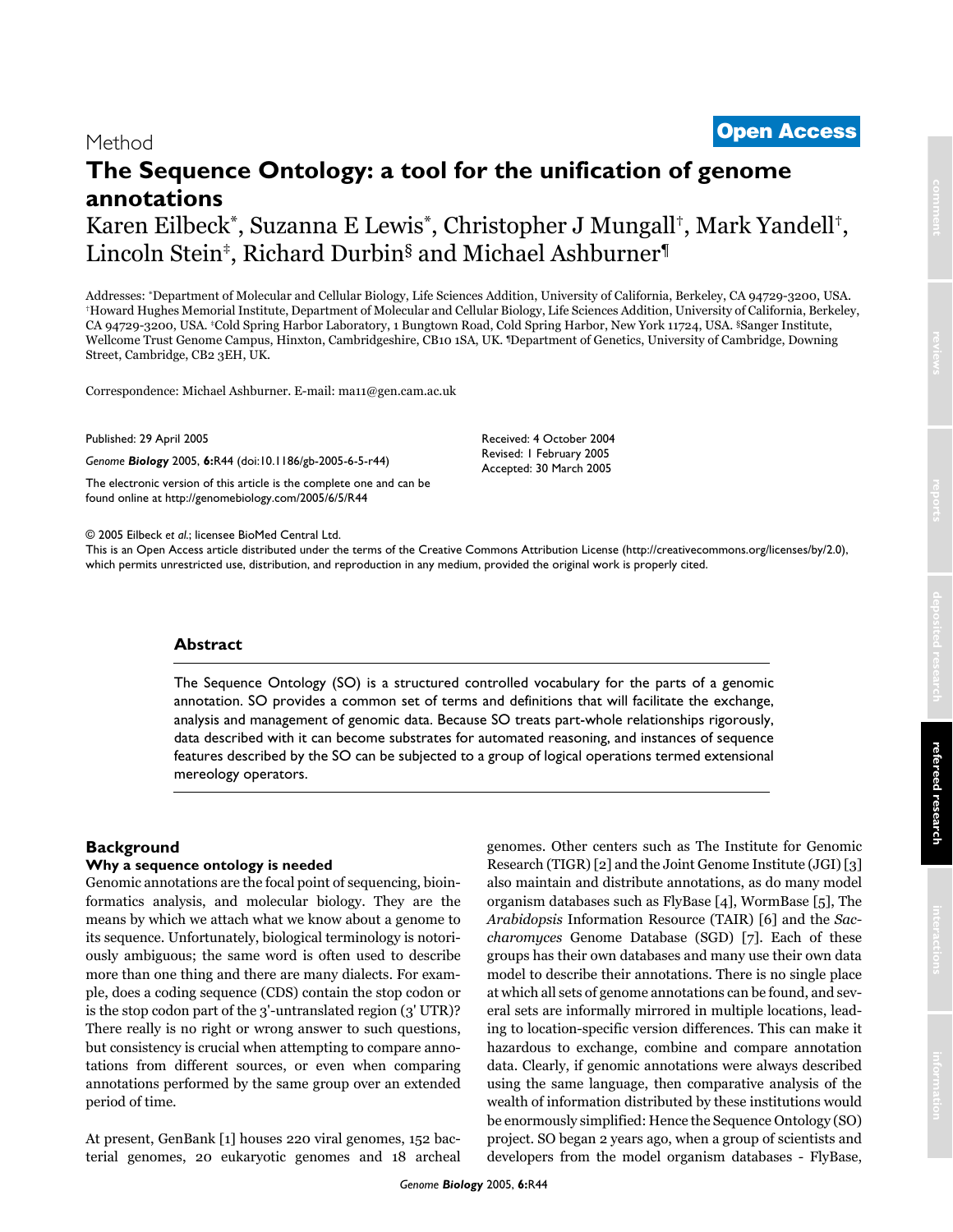## <sup>2005</sup> Eilbeck et al. Volume 6, Issue 5, Article R44 **[Open Access](http://www.biomedcentral.com/info/about/charter/)** Method

# **The Sequence Ontology: a tool for the unification of genome annotations**

Karen Eilbeck\*, Suzanna E Lewis\*, Christopher J Mungall†, Mark Yandell†, Lincoln Stein<sup>‡</sup>, Richard Durbin<sup>§</sup> and Michael Ashburner<sup>¶</sup>

Addresses: \*Department of Molecular and Cellular Biology, Life Sciences Addition, University of California, Berkeley, CA 94729-3200, USA.<br>\*Howard Hughes Memorial Institute, Department of Molecular and Cellular Biology, Lif CA 94729-3200, USA. ‡Cold Spring Harbor Laboratory, 1 Bungtown Road, Cold Spring Harbor, New York 11724, USA. §Sanger Institute, Wellcome Trust Genome Campus, Hinxton, Cambridgeshire, CB10 1SA, UK. <sup>1</sup>Department of Genetics, University of Cambridge, Downing Street, Cambridge, CB2 3EH, UK.

> Received: 4 October 2004 Revised: 1 February 2005 Accepted: 30 March 2005

Correspondence: Michael Ashburner. E-mail: ma11@gen.cam.ac.uk

Published: 29 April 2005

*Genome Biology* 2005, **6:**R44 (doi:10.1186/gb-2005-6-5-r44)

[The electronic version of this article is the complete one and can be](http://genomebiology.com/2005/6/5/R44)  found online at http://genomebiology.com/2005/6/5/R44

© 2005 Eilbeck *et al*.; licensee BioMed Central Ltd.

[This is an Open Access article distributed under the terms of the Creative Commons Attribution License \(http://creativecommons.org/licenses/by/2.0\),](http://creativecommons.org/licenses/by/2.0)  which permits unrestricted use, distribution, and reproduction in any medium, provided the original work is properly cited.

## **Abstract**

The Sequence Ontology (SO) is a structured controlled vocabulary for the parts of a genomic annotation. SO provides a common set of terms and definitions that will facilitate the exchange, analysis and management of genomic data. Because SO treats part-whole relationships rigorously, data described with it can become substrates for automated reasoning, and instances of sequence features described by the SO can be subjected to a group of logical operations termed extensional mereology operators.

## **Background**

## **Why a sequence ontology is needed**

Genomic annotations are the focal point of sequencing, bioinformatics analysis, and molecular biology. They are the means by which we attach what we know about a genome to its sequence. Unfortunately, biological terminology is notoriously ambiguous; the same word is often used to describe more than one thing and there are many dialects. For example, does a coding sequence (CDS) contain the stop codon or is the stop codon part of the 3'-untranslated region (3' UTR)? There really is no right or wrong answer to such questions, but consistency is crucial when attempting to compare annotations from different sources, or even when comparing annotations performed by the same group over an extended period of time.

At present, GenBank [1] houses 220 viral genomes, 152 bacterial genomes, 20 eukaryotic genomes and 18 archeal genomes. Other centers such as The Institute for Genomic Research (TIGR) [2] and the Joint Genome Institute (JGI) [3] also maintain and distribute annotations, as do many model organism databases such as FlyBase [4], WormBase [5], The *Arabidopsis* Information Resource (TAIR) [6] and the *Saccharomyces* Genome Database (SGD) [7]. Each of these groups has their own databases and many use their own data model to describe their annotations. There is no single place at which all sets of genome annotations can be found, and several sets are informally mirrored in multiple locations, leading to location-specific version differences. This can make it hazardous to exchange, combine and compare annotation data. Clearly, if genomic annotations were always described using the same language, then comparative analysis of the wealth of information distributed by these institutions would be enormously simplified: Hence the Sequence Ontology (SO) project. SO began 2 years ago, when a group of scientists and developers from the model organism databases - FlyBase,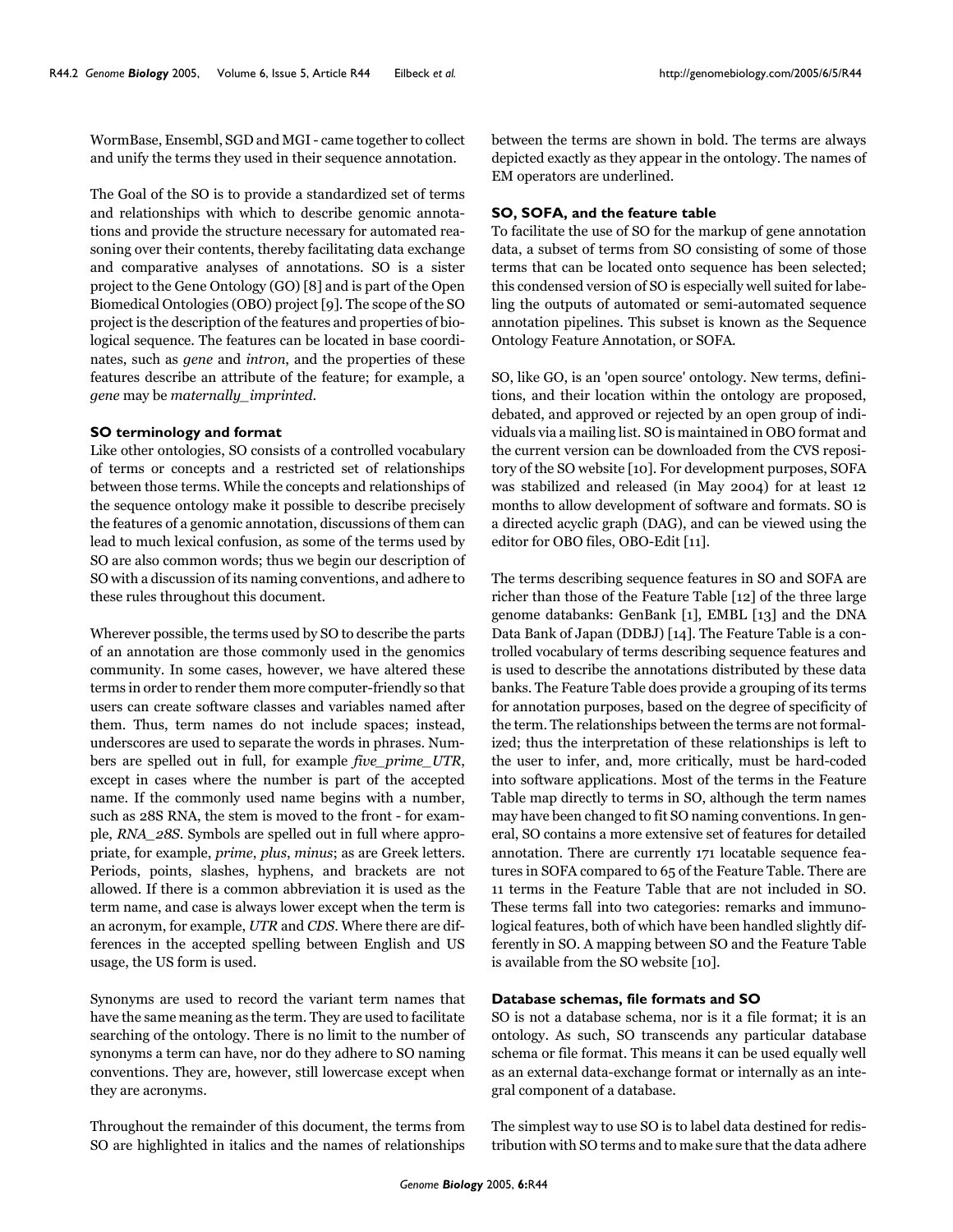WormBase, Ensembl, SGD and MGI - came together to collect and unify the terms they used in their sequence annotation.

The Goal of the SO is to provide a standardized set of terms and relationships with which to describe genomic annotations and provide the structure necessary for automated reasoning over their contents, thereby facilitating data exchange and comparative analyses of annotations. SO is a sister project to the Gene Ontology (GO) [8] and is part of the Open Biomedical Ontologies (OBO) project [9]. The scope of the SO project is the description of the features and properties of biological sequence. The features can be located in base coordinates, such as *gene* and *intron*, and the properties of these features describe an attribute of the feature; for example, a *gene* may be *maternally\_imprinted*.

#### **SO terminology and format**

Like other ontologies, SO consists of a controlled vocabulary of terms or concepts and a restricted set of relationships between those terms. While the concepts and relationships of the sequence ontology make it possible to describe precisely the features of a genomic annotation, discussions of them can lead to much lexical confusion, as some of the terms used by SO are also common words; thus we begin our description of SO with a discussion of its naming conventions, and adhere to these rules throughout this document.

Wherever possible, the terms used by SO to describe the parts of an annotation are those commonly used in the genomics community. In some cases, however, we have altered these terms in order to render them more computer-friendly so that users can create software classes and variables named after them. Thus, term names do not include spaces; instead, underscores are used to separate the words in phrases. Numbers are spelled out in full, for example *five\_prime\_UTR*, except in cases where the number is part of the accepted name. If the commonly used name begins with a number, such as 28S RNA, the stem is moved to the front - for example, *RNA\_28S*. Symbols are spelled out in full where appropriate, for example, *prime*, *plus*, *minus*; as are Greek letters. Periods, points, slashes, hyphens, and brackets are not allowed. If there is a common abbreviation it is used as the term name, and case is always lower except when the term is an acronym, for example, *UTR* and *CDS*. Where there are differences in the accepted spelling between English and US usage, the US form is used.

Synonyms are used to record the variant term names that have the same meaning as the term. They are used to facilitate searching of the ontology. There is no limit to the number of synonyms a term can have, nor do they adhere to SO naming conventions. They are, however, still lowercase except when they are acronyms.

Throughout the remainder of this document, the terms from SO are highlighted in italics and the names of relationships

between the terms are shown in bold. The terms are always depicted exactly as they appear in the ontology. The names of EM operators are underlined.

## **SO, SOFA, and the feature table**

To facilitate the use of SO for the markup of gene annotation data, a subset of terms from SO consisting of some of those terms that can be located onto sequence has been selected; this condensed version of SO is especially well suited for labeling the outputs of automated or semi-automated sequence annotation pipelines. This subset is known as the Sequence Ontology Feature Annotation, or SOFA.

SO, like GO, is an 'open source' ontology. New terms, definitions, and their location within the ontology are proposed, debated, and approved or rejected by an open group of individuals via a mailing list. SO is maintained in OBO format and the current version can be downloaded from the CVS repository of the SO website [10]. For development purposes, SOFA was stabilized and released (in May 2004) for at least 12 months to allow development of software and formats. SO is a directed acyclic graph (DAG), and can be viewed using the editor for OBO files, OBO-Edit [11].

The terms describing sequence features in SO and SOFA are richer than those of the Feature Table [12] of the three large genome databanks: GenBank [1], EMBL [13] and the DNA Data Bank of Japan (DDBJ) [14]. The Feature Table is a controlled vocabulary of terms describing sequence features and is used to describe the annotations distributed by these data banks. The Feature Table does provide a grouping of its terms for annotation purposes, based on the degree of specificity of the term. The relationships between the terms are not formalized; thus the interpretation of these relationships is left to the user to infer, and, more critically, must be hard-coded into software applications. Most of the terms in the Feature Table map directly to terms in SO, although the term names may have been changed to fit SO naming conventions. In general, SO contains a more extensive set of features for detailed annotation. There are currently 171 locatable sequence features in SOFA compared to 65 of the Feature Table. There are 11 terms in the Feature Table that are not included in SO. These terms fall into two categories: remarks and immunological features, both of which have been handled slightly differently in SO. A mapping between SO and the Feature Table is available from the SO website [10].

## **Database schemas, file formats and SO**

SO is not a database schema, nor is it a file format; it is an ontology. As such, SO transcends any particular database schema or file format. This means it can be used equally well as an external data-exchange format or internally as an integral component of a database.

The simplest way to use SO is to label data destined for redistribution with SO terms and to make sure that the data adhere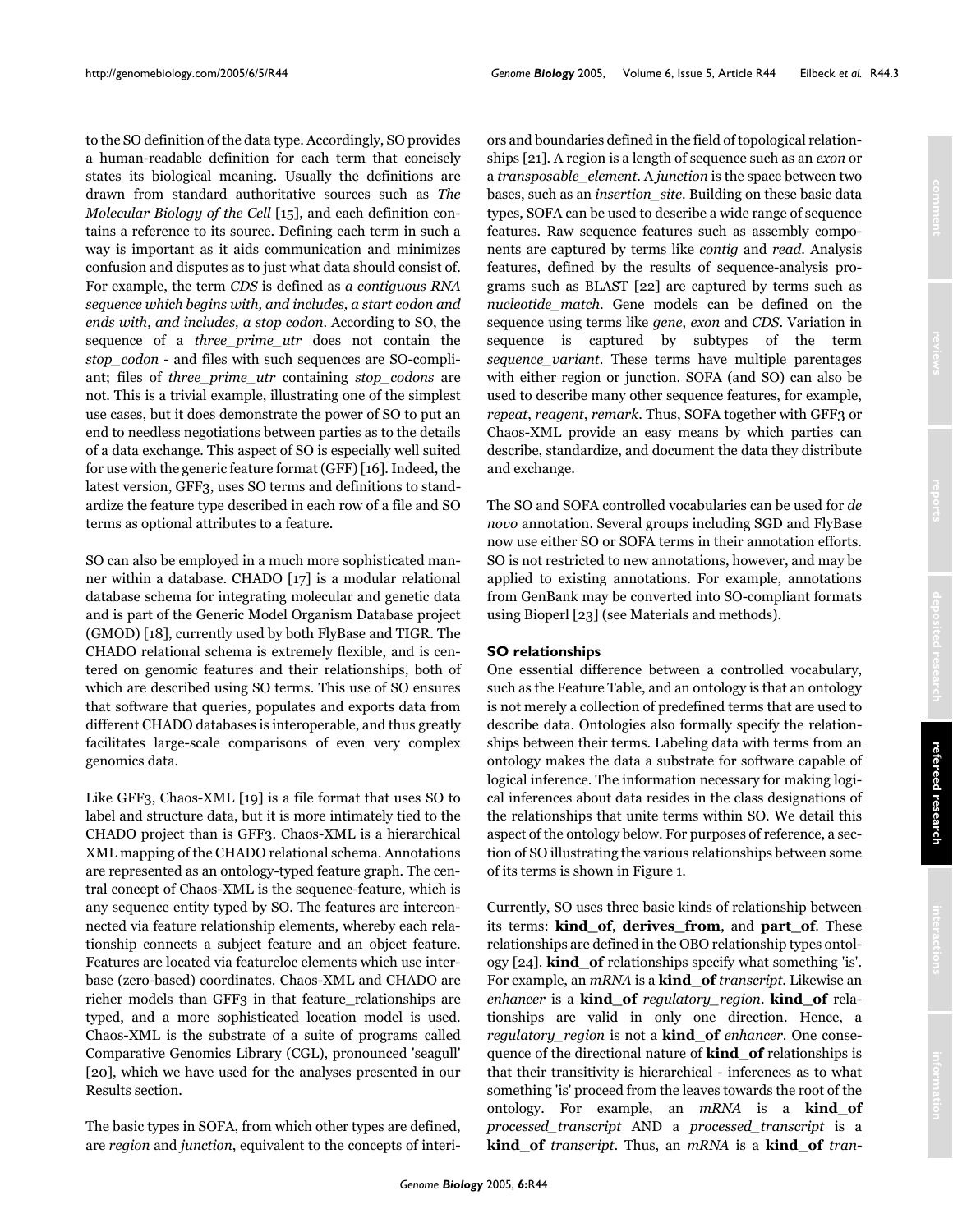to the SO definition of the data type. Accordingly, SO provides a human-readable definition for each term that concisely states its biological meaning. Usually the definitions are drawn from standard authoritative sources such as *The Molecular Biology of the Cell* [15], and each definition contains a reference to its source. Defining each term in such a way is important as it aids communication and minimizes confusion and disputes as to just what data should consist of. For example, the term *CDS* is defined as *a contiguous RNA sequence which begins with, and includes, a start codon and ends with, and includes, a stop codon*. According to SO, the sequence of a *three\_prime\_utr* does not contain the *stop\_codon* - and files with such sequences are SO-compliant; files of *three\_prime\_utr* containing *stop\_codons* are not. This is a trivial example, illustrating one of the simplest use cases, but it does demonstrate the power of SO to put an end to needless negotiations between parties as to the details of a data exchange. This aspect of SO is especially well suited for use with the generic feature format (GFF) [16]. Indeed, the latest version, GFF3, uses SO terms and definitions to standardize the feature type described in each row of a file and SO terms as optional attributes to a feature.

SO can also be employed in a much more sophisticated manner within a database. CHADO [17] is a modular relational database schema for integrating molecular and genetic data and is part of the Generic Model Organism Database project (GMOD) [18], currently used by both FlyBase and TIGR. The CHADO relational schema is extremely flexible, and is centered on genomic features and their relationships, both of which are described using SO terms. This use of SO ensures that software that queries, populates and exports data from different CHADO databases is interoperable, and thus greatly facilitates large-scale comparisons of even very complex genomics data.

Like GFF3, Chaos-XML [19] is a file format that uses SO to label and structure data, but it is more intimately tied to the CHADO project than is GFF3. Chaos-XML is a hierarchical XML mapping of the CHADO relational schema. Annotations are represented as an ontology-typed feature graph. The central concept of Chaos-XML is the sequence-feature, which is any sequence entity typed by SO. The features are interconnected via feature relationship elements, whereby each relationship connects a subject feature and an object feature. Features are located via featureloc elements which use interbase (zero-based) coordinates. Chaos-XML and CHADO are richer models than GFF3 in that feature\_relationships are typed, and a more sophisticated location model is used. Chaos-XML is the substrate of a suite of programs called Comparative Genomics Library (CGL), pronounced 'seagull' [20], which we have used for the analyses presented in our Results section.

The basic types in SOFA, from which other types are defined, are *region* and *junction*, equivalent to the concepts of interiors and boundaries defined in the field of topological relationships [21]. A region is a length of sequence such as an *exon* or a *transposable\_element*. A *junction* is the space between two bases, such as an *insertion\_site*. Building on these basic data types, SOFA can be used to describe a wide range of sequence features. Raw sequence features such as assembly components are captured by terms like *contig* and *read*. Analysis features, defined by the results of sequence-analysis programs such as BLAST [22] are captured by terms such as *nucleotide\_match*. Gene models can be defined on the sequence using terms like *gene*, *exon* and *CDS*. Variation in sequence is captured by subtypes of the term *sequence\_variant*. These terms have multiple parentages with either region or junction. SOFA (and SO) can also be used to describe many other sequence features, for example, *repeat*, *reagent*, *remark*. Thus, SOFA together with GFF3 or Chaos-XML provide an easy means by which parties can describe, standardize, and document the data they distribute and exchange.

The SO and SOFA controlled vocabularies can be used for *de novo* annotation. Several groups including SGD and FlyBase now use either SO or SOFA terms in their annotation efforts. SO is not restricted to new annotations, however, and may be applied to existing annotations. For example, annotations from GenBank may be converted into SO-compliant formats using Bioperl [23] (see Materials and methods).

#### **SO relationships**

One essential difference between a controlled vocabulary, such as the Feature Table, and an ontology is that an ontology is not merely a collection of predefined terms that are used to describe data. Ontologies also formally specify the relationships between their terms. Labeling data with terms from an ontology makes the data a substrate for software capable of logical inference. The information necessary for making logical inferences about data resides in the class designations of the relationships that unite terms within SO. We detail this aspect of the ontology below. For purposes of reference, a section of SO illustrating the various relationships between some of its terms is shown in Figure [1.](#page-3-0)

Currently, SO uses three basic kinds of relationship between its terms: **kind\_of**, **derives\_from**, and **part\_of**. These relationships are defined in the OBO relationship types ontology [24]. **kind\_of** relationships specify what something 'is'. For example, an *mRNA* is a **kind\_of** *transcript*. Likewise an *enhancer* is a **kind\_of** *regulatory\_region*. **kind\_of** relationships are valid in only one direction. Hence, a *regulatory\_region* is not a **kind\_of** *enhancer*. One consequence of the directional nature of **kind\_of** relationships is that their transitivity is hierarchical - inferences as to what something 'is' proceed from the leaves towards the root of the ontology. For example, an *mRNA* is a **kind\_of** *processed\_transcript* AND a *processed\_transcript* is a **kind\_of** *transcript*. Thus, an *mRNA* is a **kind\_of** *tran-*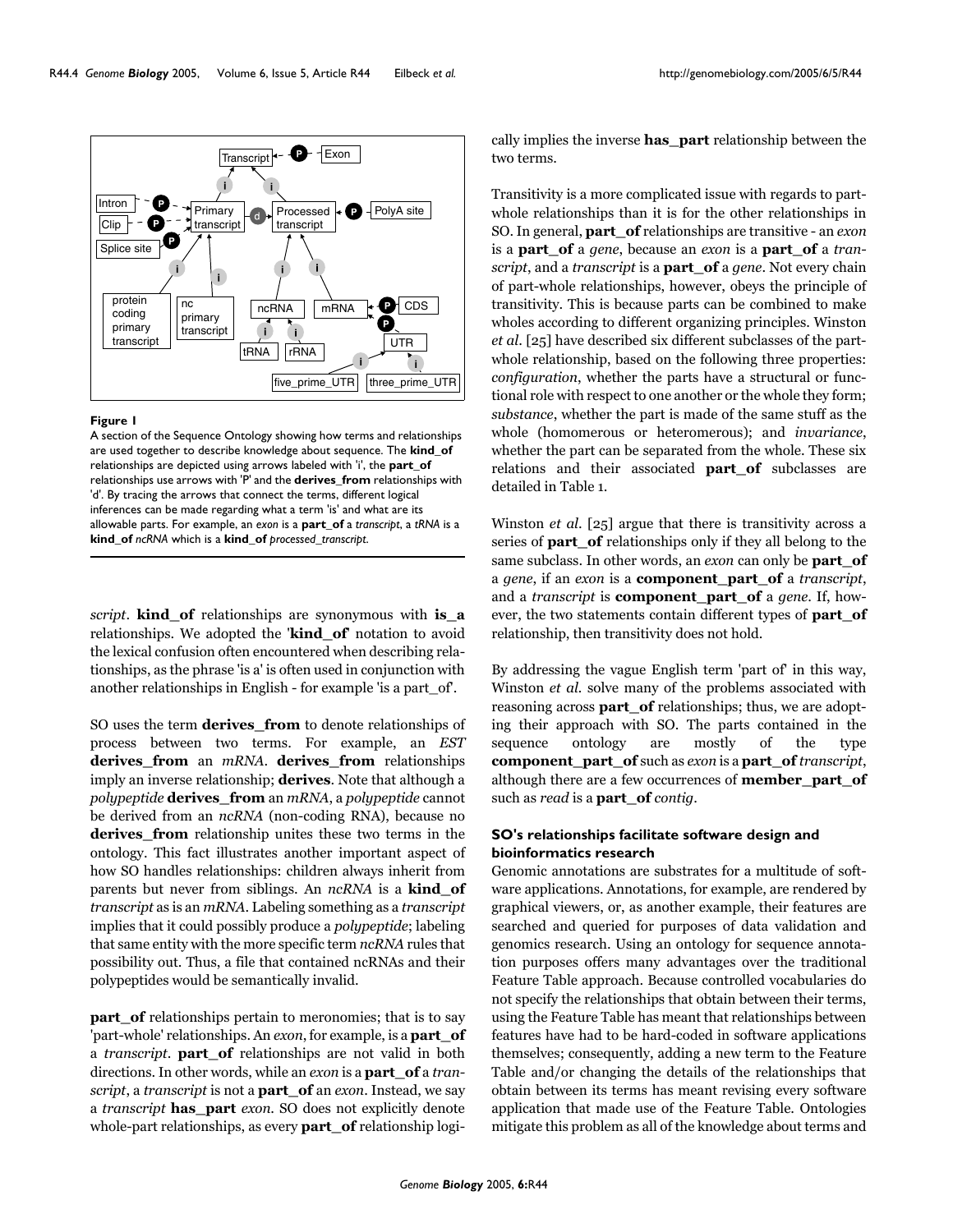<span id="page-3-0"></span>

#### Figure I

A section of the Sequence Ontology showing how terms and relationships are used together to describe knowledge about sequence. The **kind\_of**  relationships are depicted using arrows labeled with 'i', the **part\_of**  relationships use arrows with 'P' and the **derives\_from** relationships with 'd'. By tracing the arrows that connect the terms, different logical inferences can be made regarding what a term 'is' and what are its allowable parts. For example, an *exon* is a **part\_of** a *transcript*, a *tRNA* is a **kind\_of** *ncRNA* which is a **kind\_of** *processed\_transcript*.

*script*. **kind\_of** relationships are synonymous with **is\_a** relationships. We adopted the '**kind\_of**' notation to avoid the lexical confusion often encountered when describing relationships, as the phrase 'is a' is often used in conjunction with another relationships in English - for example 'is a part\_of'.

SO uses the term **derives\_from** to denote relationships of process between two terms. For example, an *EST* **derives\_from** an *mRNA*. **derives\_from** relationships imply an inverse relationship; **derives**. Note that although a *polypeptide* **derives\_from** an *mRNA*, a *polypeptide* cannot be derived from an *ncRNA* (non-coding RNA), because no **derives\_from** relationship unites these two terms in the ontology. This fact illustrates another important aspect of how SO handles relationships: children always inherit from parents but never from siblings. An *ncRNA* is a **kind\_of** *transcript* as is an *mRNA*. Labeling something as a *transcript* implies that it could possibly produce a *polypeptide*; labeling that same entity with the more specific term *ncRNA* rules that possibility out. Thus, a file that contained ncRNAs and their polypeptides would be semantically invalid.

**part\_of** relationships pertain to meronomies; that is to say 'part-whole' relationships. An *exon*, for example, is a **part\_of** a *transcript*. **part\_of** relationships are not valid in both directions. In other words, while an *exon* is a **part\_of** a *transcript*, a *transcript* is not a **part\_of** an *exon*. Instead, we say a *transcript* **has\_part** *exon*. SO does not explicitly denote whole-part relationships, as every **part\_of** relationship logically implies the inverse **has\_part** relationship between the two terms.

Transitivity is a more complicated issue with regards to partwhole relationships than it is for the other relationships in SO. In general, **part\_of** relationships are transitive - an *exon* is a **part\_of** a *gene*, because an *exon* is a **part\_of** a *transcript*, and a *transcript* is a **part\_of** a *gene*. Not every chain of part-whole relationships, however, obeys the principle of transitivity. This is because parts can be combined to make wholes according to different organizing principles. Winston *et al*. [25] have described six different subclasses of the partwhole relationship, based on the following three properties: *configuration*, whether the parts have a structural or functional role with respect to one another or the whole they form; *substance*, whether the part is made of the same stuff as the whole (homomerous or heteromerous); and *invariance*, whether the part can be separated from the whole. These six relations and their associated **part\_of** subclasses are detailed in Table [1](#page-4-0).

Winston *et al*. [25] argue that there is transitivity across a series of **part\_of** relationships only if they all belong to the same subclass. In other words, an *exon* can only be **part\_of** a *gene*, if an *exon* is a **component\_part\_of** a *transcript*, and a *transcript* is **component\_part\_of** a *gene*. If, however, the two statements contain different types of **part\_of** relationship, then transitivity does not hold.

By addressing the vague English term 'part of' in this way, Winston *et al.* solve many of the problems associated with reasoning across **part\_of** relationships; thus, we are adopting their approach with SO. The parts contained in the sequence ontology are mostly of the type **component\_part\_of** such as *exon* is a **part\_of** *transcript*, although there are a few occurrences of **member\_part\_of** such as *read* is a **part\_of** *contig*.

## **SO's relationships facilitate software design and bioinformatics research**

Genomic annotations are substrates for a multitude of software applications. Annotations, for example, are rendered by graphical viewers, or, as another example, their features are searched and queried for purposes of data validation and genomics research. Using an ontology for sequence annotation purposes offers many advantages over the traditional Feature Table approach. Because controlled vocabularies do not specify the relationships that obtain between their terms, using the Feature Table has meant that relationships between features have had to be hard-coded in software applications themselves; consequently, adding a new term to the Feature Table and/or changing the details of the relationships that obtain between its terms has meant revising every software application that made use of the Feature Table. Ontologies mitigate this problem as all of the knowledge about terms and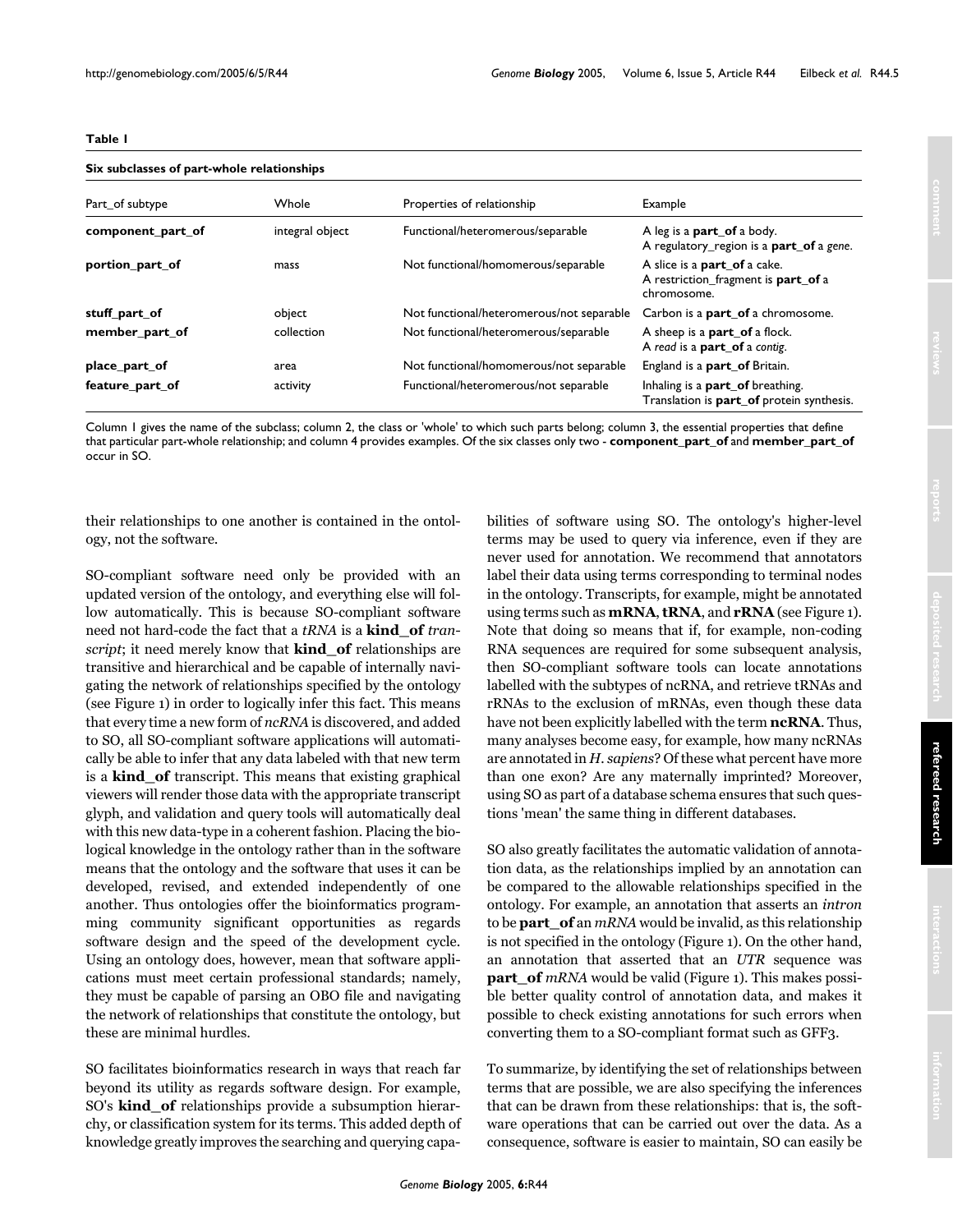<span id="page-4-0"></span>

| ٠<br>× |  |
|--------|--|
|--------|--|

| Six subclasses of part-whole relationships |                 |                                           |                                                                                      |
|--------------------------------------------|-----------------|-------------------------------------------|--------------------------------------------------------------------------------------|
| Part_of subtype                            | Whole           | Properties of relationship                | Example                                                                              |
| component_part_of                          | integral object | Functional/heteromerous/separable         | A leg is a <b>part</b> of a body.<br>A regulatory_region is a part_of a gene.        |
| portion_part_of                            | mass            | Not functional/homomerous/separable       | A slice is a part_of a cake.<br>A restriction_fragment is part_of a<br>chromosome.   |
| stuff_part_of                              | object          | Not functional/heteromerous/not separable | Carbon is a <b>part_of</b> a chromosome.                                             |
| member_part_of                             | collection      | Not functional/heteromerous/separable     | A sheep is a <b>part_of</b> a flock.<br>A read is a part_of a contig.                |
| place_part_of                              | area            | Not functional/homomerous/not separable   | England is a <b>part_of</b> Britain.                                                 |
| feature_part_of                            | activity        | Functional/heteromerous/not separable     | Inhaling is a <b>part_of</b> breathing.<br>Translation is part_of protein synthesis. |

Column 1 gives the name of the subclass; column 2, the class or 'whole' to which such parts belong; column 3, the essential properties that define that particular part-whole relationship; and column 4 provides examples. Of the six classes only two - **component\_part\_of** and **member\_part\_of**  occur in SO.

their relationships to one another is contained in the ontology, not the software.

SO-compliant software need only be provided with an updated version of the ontology, and everything else will follow automatically. This is because SO-compliant software need not hard-code the fact that a *tRNA* is a **kind\_of** *transcript*; it need merely know that **kind\_of** relationships are transitive and hierarchical and be capable of internally navigating the network of relationships specified by the ontology (see Figure [1\)](#page-3-0) in order to logically infer this fact. This means that every time a new form of *ncRNA* is discovered, and added to SO, all SO-compliant software applications will automatically be able to infer that any data labeled with that new term is a **kind\_of** transcript. This means that existing graphical viewers will render those data with the appropriate transcript glyph, and validation and query tools will automatically deal with this new data-type in a coherent fashion. Placing the biological knowledge in the ontology rather than in the software means that the ontology and the software that uses it can be developed, revised, and extended independently of one another. Thus ontologies offer the bioinformatics programming community significant opportunities as regards software design and the speed of the development cycle. Using an ontology does, however, mean that software applications must meet certain professional standards; namely, they must be capable of parsing an OBO file and navigating the network of relationships that constitute the ontology, but these are minimal hurdles.

SO facilitates bioinformatics research in ways that reach far beyond its utility as regards software design. For example, SO's **kind\_of** relationships provide a subsumption hierarchy, or classification system for its terms. This added depth of knowledge greatly improves the searching and querying capabilities of software using SO. The ontology's higher-level terms may be used to query via inference, even if they are never used for annotation. We recommend that annotators label their data using terms corresponding to terminal nodes in the ontology. Transcripts, for example, might be annotated using terms such as **mRNA**, **tRNA**, and **rRNA** (see Figure [1](#page-3-0)). Note that doing so means that if, for example, non-coding RNA sequences are required for some subsequent analysis, then SO-compliant software tools can locate annotations labelled with the subtypes of ncRNA, and retrieve tRNAs and rRNAs to the exclusion of mRNAs, even though these data have not been explicitly labelled with the term **ncRNA**. Thus, many analyses become easy, for example, how many ncRNAs are annotated in *H. sapiens*? Of these what percent have more than one exon? Are any maternally imprinted? Moreover, using SO as part of a database schema ensures that such questions 'mean' the same thing in different databases.

SO also greatly facilitates the automatic validation of annotation data, as the relationships implied by an annotation can be compared to the allowable relationships specified in the ontology. For example, an annotation that asserts an *intron* to be **part\_of** an *mRNA* would be invalid, as this relationship is not specified in the ontology (Figure [1](#page-3-0)). On the other hand, an annotation that asserted that an *UTR* sequence was **part\_of** *mRNA* would be valid (Figure [1](#page-3-0)). This makes possible better quality control of annotation data, and makes it possible to check existing annotations for such errors when converting them to a SO-compliant format such as GFF3.

To summarize, by identifying the set of relationships between terms that are possible, we are also specifying the inferences that can be drawn from these relationships: that is, the software operations that can be carried out over the data. As a consequence, software is easier to maintain, SO can easily be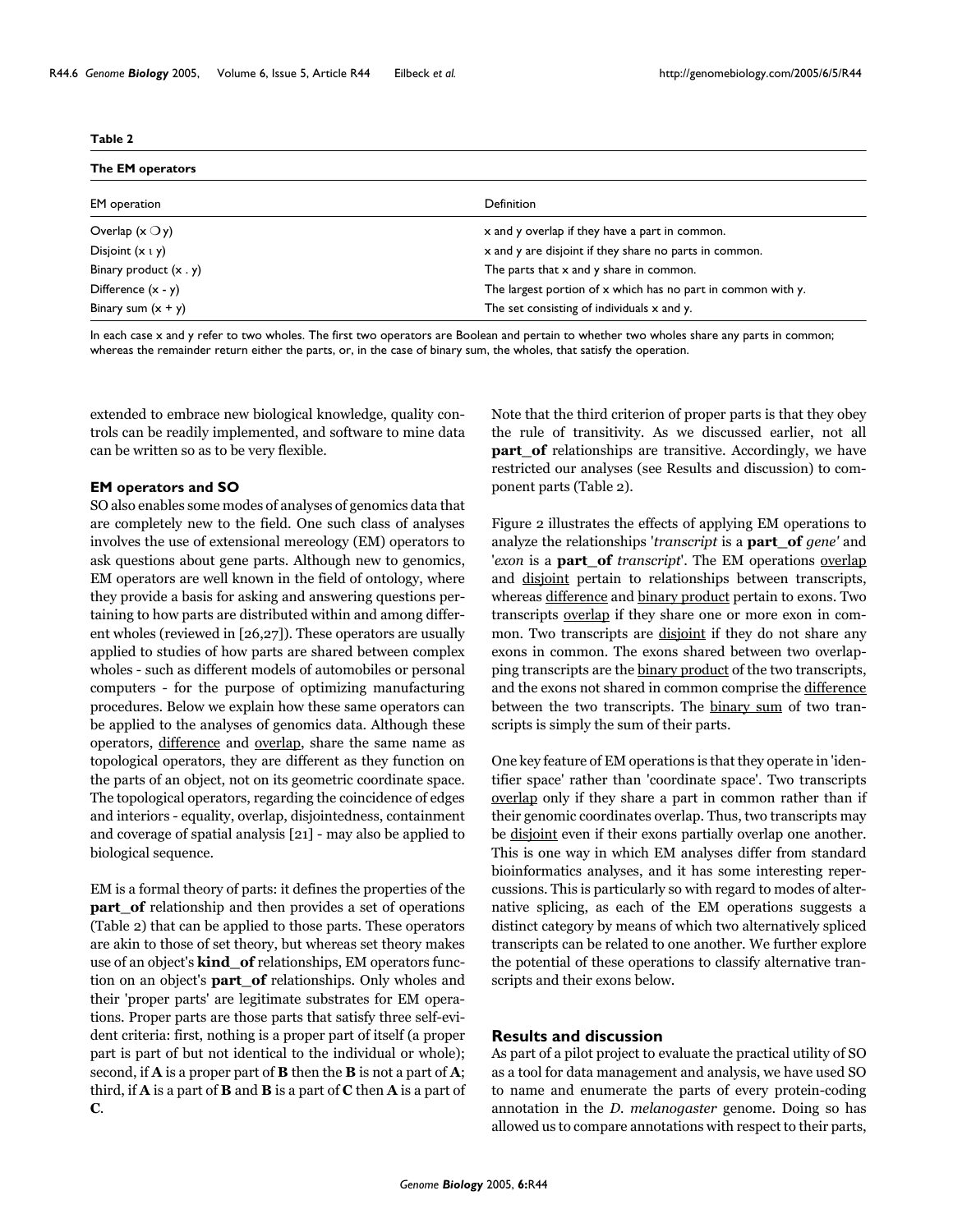<span id="page-5-0"></span>

|   | ۰. |  |
|---|----|--|
| . | ×  |  |
|   |    |  |

| The EM operators         |                                                              |  |  |
|--------------------------|--------------------------------------------------------------|--|--|
| <b>EM</b> operation      | Definition                                                   |  |  |
| Overlap $(x \bigcirc y)$ | x and y overlap if they have a part in common.               |  |  |
| Disjoint $(x \t1 y)$     | x and y are disjoint if they share no parts in common.       |  |  |
| Binary product $(x, y)$  | The parts that x and y share in common.                      |  |  |
| Difference $(x - y)$     | The largest portion of x which has no part in common with y. |  |  |
| Binary sum $(x + y)$     | The set consisting of individuals $x$ and $y$ .              |  |  |

In each case x and y refer to two wholes. The first two operators are Boolean and pertain to whether two wholes share any parts in common; whereas the remainder return either the parts, or, in the case of binary sum, the wholes, that satisfy the operation.

extended to embrace new biological knowledge, quality controls can be readily implemented, and software to mine data can be written so as to be very flexible.

#### **EM operators and SO**

SO also enables some modes of analyses of genomics data that are completely new to the field. One such class of analyses involves the use of extensional mereology (EM) operators to ask questions about gene parts. Although new to genomics, EM operators are well known in the field of ontology, where they provide a basis for asking and answering questions pertaining to how parts are distributed within and among different wholes (reviewed in [26,27]). These operators are usually applied to studies of how parts are shared between complex wholes - such as different models of automobiles or personal computers - for the purpose of optimizing manufacturing procedures. Below we explain how these same operators can be applied to the analyses of genomics data. Although these operators, difference and overlap, share the same name as topological operators, they are different as they function on the parts of an object, not on its geometric coordinate space. The topological operators, regarding the coincidence of edges and interiors - equality, overlap, disjointedness, containment and coverage of spatial analysis [21] - may also be applied to biological sequence.

EM is a formal theory of parts: it defines the properties of the **part\_of** relationship and then provides a set of operations (Table [2\)](#page-5-0) that can be applied to those parts. These operators are akin to those of set theory, but whereas set theory makes use of an object's **kind\_of** relationships, EM operators function on an object's **part\_of** relationships. Only wholes and their 'proper parts' are legitimate substrates for EM operations. Proper parts are those parts that satisfy three self-evident criteria: first, nothing is a proper part of itself (a proper part is part of but not identical to the individual or whole); second, if **A** is a proper part of **B** then the **B** is not a part of **A**; third, if **A** is a part of **B** and **B** is a part of **C** then **A** is a part of **C**.

Note that the third criterion of proper parts is that they obey the rule of transitivity. As we discussed earlier, not all **part\_of** relationships are transitive. Accordingly, we have restricted our analyses (see Results and discussion) to component parts (Table [2](#page-5-0)).

Figure [2](#page-6-0) illustrates the effects of applying EM operations to analyze the relationships '*transcript* is a **part\_of** *gene'* and '*exon* is a **part\_of** *transcript*'. The EM operations overlap and disjoint pertain to relationships between transcripts, whereas difference and binary product pertain to exons. Two transcripts overlap if they share one or more exon in common. Two transcripts are disjoint if they do not share any exons in common. The exons shared between two overlapping transcripts are the binary product of the two transcripts, and the exons not shared in common comprise the difference between the two transcripts. The <u>binary sum</u> of two transcripts is simply the sum of their parts.

One key feature of EM operations is that they operate in 'identifier space' rather than 'coordinate space'. Two transcripts overlap only if they share a part in common rather than if their genomic coordinates overlap. Thus, two transcripts may be <u>disjoint</u> even if their exons partially overlap one another. This is one way in which EM analyses differ from standard bioinformatics analyses, and it has some interesting repercussions. This is particularly so with regard to modes of alternative splicing, as each of the EM operations suggests a distinct category by means of which two alternatively spliced transcripts can be related to one another. We further explore the potential of these operations to classify alternative transcripts and their exons below.

## **Results and discussion**

As part of a pilot project to evaluate the practical utility of SO as a tool for data management and analysis, we have used SO to name and enumerate the parts of every protein-coding annotation in the *D. melanogaster* genome. Doing so has allowed us to compare annotations with respect to their parts,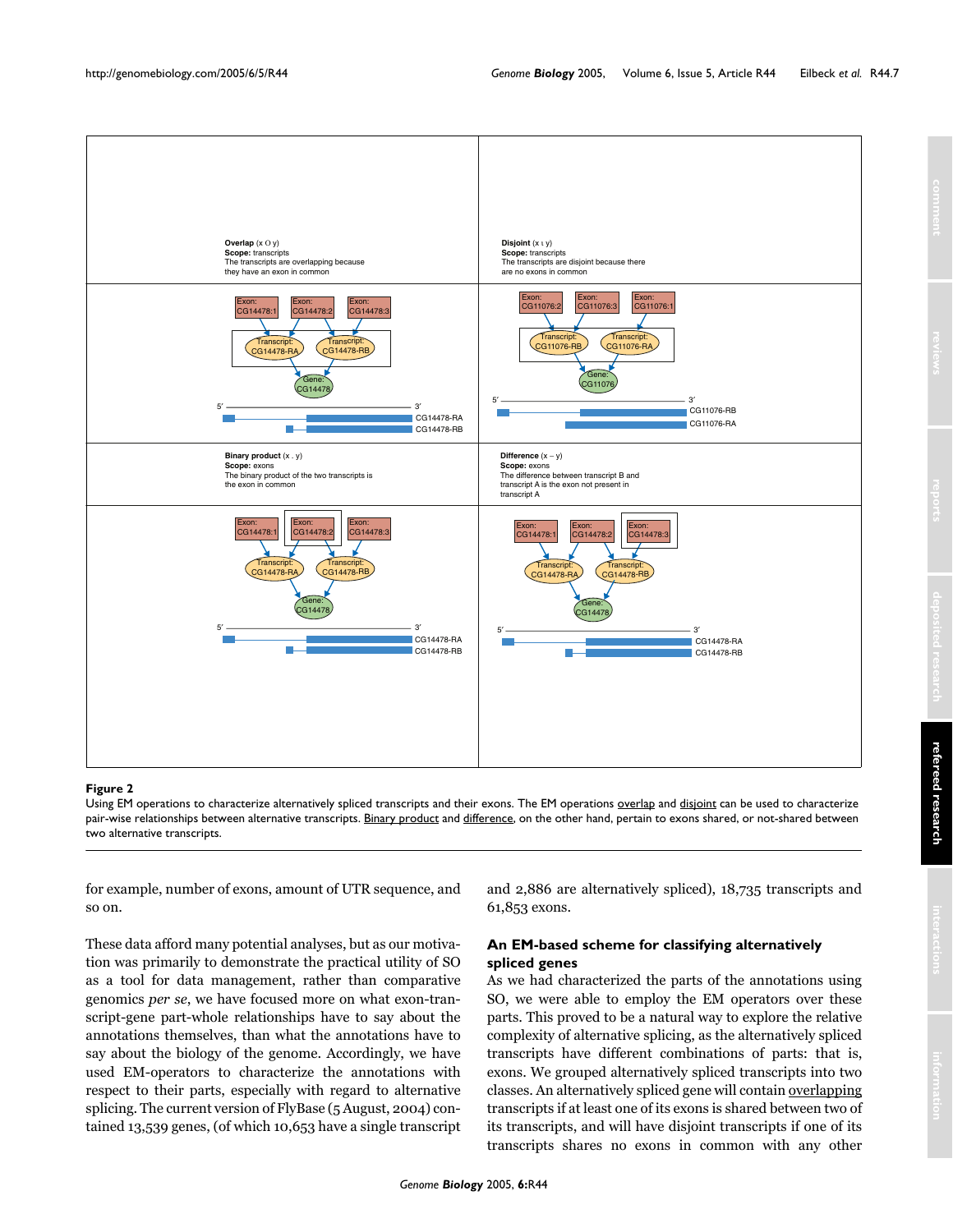<span id="page-6-0"></span>

#### Figure 2

Using EM operations to characterize alternatively spliced transcripts and their exons. The EM operations overlap and disjoint can be used to characterize pair-wise relationships between alternative transcripts. Binary product and difference, on the other hand, pertain to exons shared, or not-shared between two alternative transcripts.

for example, number of exons, amount of UTR sequence, and so on.

These data afford many potential analyses, but as our motivation was primarily to demonstrate the practical utility of SO as a tool for data management, rather than comparative genomics *per se*, we have focused more on what exon-transcript-gene part-whole relationships have to say about the annotations themselves, than what the annotations have to say about the biology of the genome. Accordingly, we have used EM-operators to characterize the annotations with respect to their parts, especially with regard to alternative splicing. The current version of FlyBase (5 August, 2004) contained 13,539 genes, (of which 10,653 have a single transcript and 2,886 are alternatively spliced), 18,735 transcripts and 61,853 exons.

## **An EM-based scheme for classifying alternatively spliced genes**

As we had characterized the parts of the annotations using SO, we were able to employ the EM operators over these parts. This proved to be a natural way to explore the relative complexity of alternative splicing, as the alternatively spliced transcripts have different combinations of parts: that is, exons. We grouped alternatively spliced transcripts into two classes. An alternatively spliced gene will contain overlapping transcripts if at least one of its exons is shared between two of its transcripts, and will have disjoint transcripts if one of its transcripts shares no exons in common with any other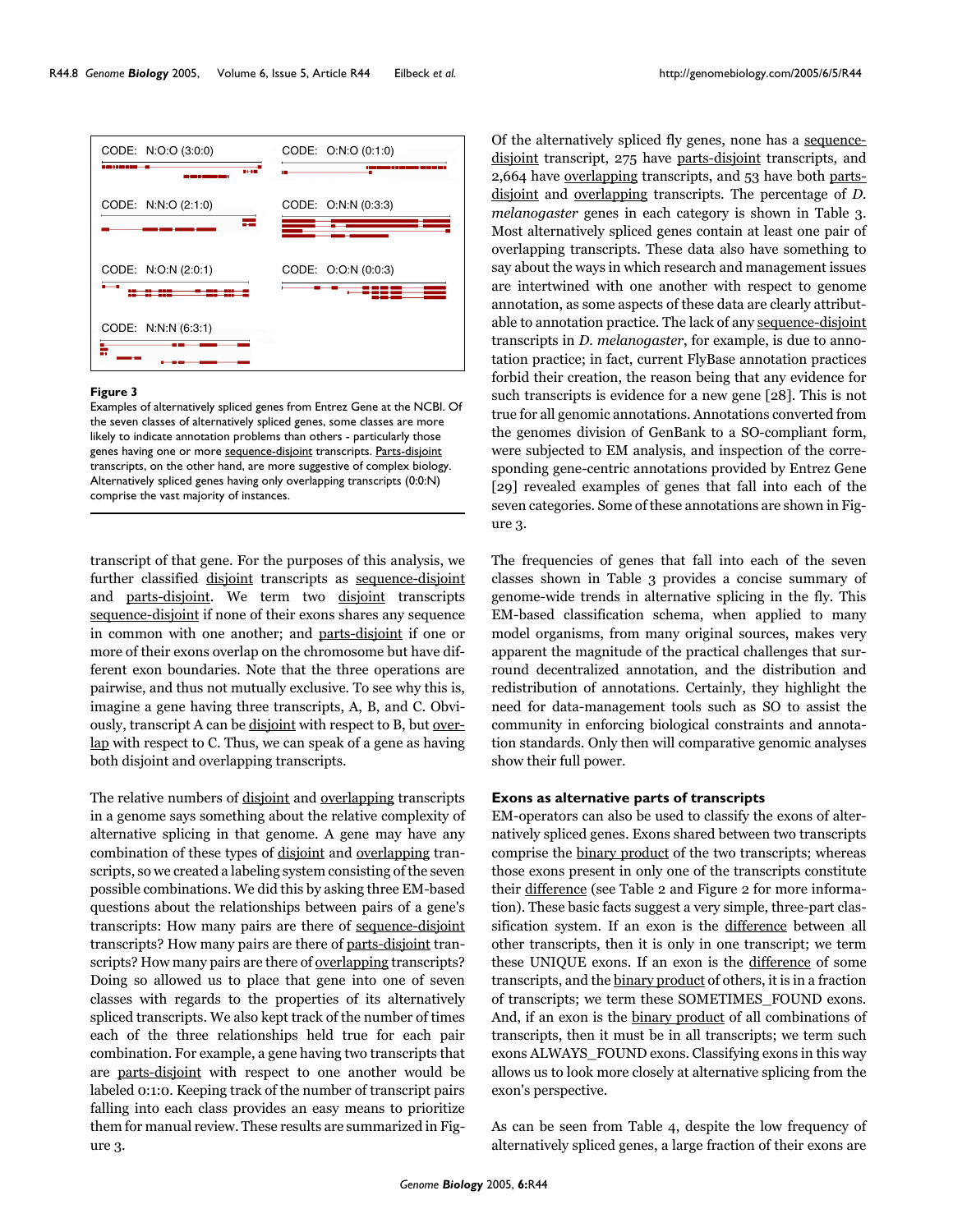

#### Figure 3

Examples of alternatively spliced genes from Entrez Gene at the NCBI. Of the seven classes of alternatively spliced genes, some classes are more likely to indicate annotation problems than others - particularly those genes having one or more sequence-disjoint transcripts. Parts-disjoint transcripts, on the other hand, are more suggestive of complex biology. Alternatively spliced genes having only overlapping transcripts (0:0:N) comprise the vast majority of instances.

transcript of that gene. For the purposes of this analysis, we further classified disjoint transcripts as sequence-disjoint and parts-disjoint. We term two disjoint transcripts sequence-disjoint if none of their exons shares any sequence in common with one another; and parts-disjoint if one or more of their exons overlap on the chromosome but have different exon boundaries. Note that the three operations are pairwise, and thus not mutually exclusive. To see why this is, imagine a gene having three transcripts, A, B, and C. Obviously, transcript A can be disjoint with respect to B, but overlap with respect to C. Thus, we can speak of a gene as having both disjoint and overlapping transcripts.

The relative numbers of disjoint and overlapping transcripts in a genome says something about the relative complexity of alternative splicing in that genome. A gene may have any combination of these types of disjoint and overlapping transcripts, so we created a labeling system consisting of the seven possible combinations. We did this by asking three EM-based questions about the relationships between pairs of a gene's transcripts: How many pairs are there of sequence-disjoint transcripts? How many pairs are there of parts-disjoint transcripts? How many pairs are there of <u>overlapping</u> transcripts? Doing so allowed us to place that gene into one of seven classes with regards to the properties of its alternatively spliced transcripts. We also kept track of the number of times each of the three relationships held true for each pair combination. For example, a gene having two transcripts that are parts-disjoint with respect to one another would be labeled 0:1:0. Keeping track of the number of transcript pairs falling into each class provides an easy means to prioritize them for manual review. These results are summarized in Figure 3.

Of the alternatively spliced fly genes, none has a sequencedisjoint transcript, 275 have parts-disjoint transcripts, and 2,664 have overlapping transcripts, and 53 have both partsdisjoint and overlapping transcripts. The percentage of *D. melanogaster* genes in each category is shown in Table [3](#page-8-0). Most alternatively spliced genes contain at least one pair of overlapping transcripts. These data also have something to say about the ways in which research and management issues are intertwined with one another with respect to genome annotation, as some aspects of these data are clearly attributable to annotation practice. The lack of any sequence-disjoint transcripts in *D. melanogaster*, for example, is due to annotation practice; in fact, current FlyBase annotation practices forbid their creation, the reason being that any evidence for such transcripts is evidence for a new gene [28]. This is not true for all genomic annotations. Annotations converted from the genomes division of GenBank to a SO-compliant form, were subjected to EM analysis, and inspection of the corresponding gene-centric annotations provided by Entrez Gene [29] revealed examples of genes that fall into each of the seven categories. Some of these annotations are shown in Figure 3.

The frequencies of genes that fall into each of the seven classes shown in Table [3](#page-8-0) provides a concise summary of genome-wide trends in alternative splicing in the fly. This EM-based classification schema, when applied to many model organisms, from many original sources, makes very apparent the magnitude of the practical challenges that surround decentralized annotation, and the distribution and redistribution of annotations. Certainly, they highlight the need for data-management tools such as SO to assist the community in enforcing biological constraints and annotation standards. Only then will comparative genomic analyses show their full power.

#### **Exons as alternative parts of transcripts**

EM-operators can also be used to classify the exons of alternatively spliced genes. Exons shared between two transcripts comprise the binary product of the two transcripts; whereas those exons present in only one of the transcripts constitute their difference (see Table [2](#page-5-0) and Figure [2](#page-6-0) for more information). These basic facts suggest a very simple, three-part classification system. If an exon is the difference between all other transcripts, then it is only in one transcript; we term these UNIQUE exons. If an exon is the difference of some transcripts, and the binary product of others, it is in a fraction of transcripts; we term these SOMETIMES\_FOUND exons. And, if an exon is the binary product of all combinations of transcripts, then it must be in all transcripts; we term such exons ALWAYS\_FOUND exons. Classifying exons in this way allows us to look more closely at alternative splicing from the exon's perspective.

As can be seen from Table [4,](#page-8-1) despite the low frequency of alternatively spliced genes, a large fraction of their exons are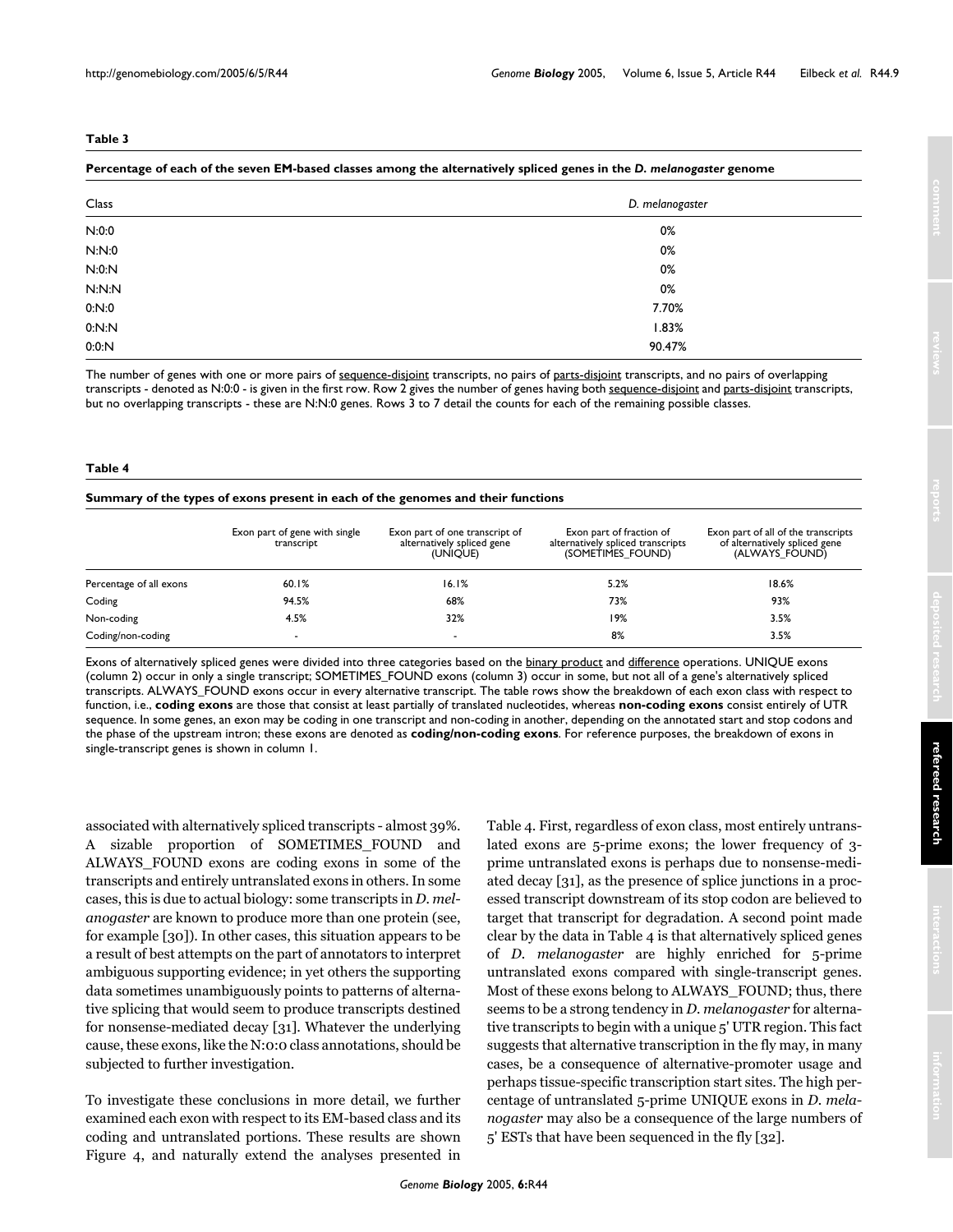#### <span id="page-8-0"></span>**Table 3**

#### **Percentage of each of the seven EM-based classes among the alternatively spliced genes in the** *D. melanogaster* **genome**

| Class | D. melanogaster |
|-------|-----------------|
| N:0:0 | 0%              |
| N:N:0 | 0%              |
| N:0:N | 0%              |
| N:N:N | 0%              |
| 0:N:0 | 7.70%           |
| 0:N:N | 1.83%           |
| 0:0:N | 90.47%          |

The number of genes with one or more pairs of sequence-disjoint transcripts, no pairs of parts-disjoint transcripts, and no pairs of overlapping transcripts - denoted as N:0:0 - is given in the first row. Row 2 gives the number of genes having both sequence-disjoint and parts-disjoint transcripts, but no overlapping transcripts - these are N:N:0 genes. Rows 3 to 7 detail the counts for each of the remaining possible classes.

#### <span id="page-8-1"></span>**Table 4**

#### **Summary of the types of exons present in each of the genomes and their functions**

|                         | Exon part of gene with single<br>transcript | Exon part of one transcript of<br>alternatively spliced gene<br>(UNIQUE) | Exon part of fraction of<br>alternatively spliced transcripts<br>(SOMETIMES_FOUND) | Exon part of all of the transcripts<br>of alternatively spliced gene<br>(ALWAYS FOUND) |
|-------------------------|---------------------------------------------|--------------------------------------------------------------------------|------------------------------------------------------------------------------------|----------------------------------------------------------------------------------------|
| Percentage of all exons | 60.1%                                       | 16.1%                                                                    | 5.2%                                                                               | 18.6%                                                                                  |
| Coding                  | 94.5%                                       | 68%                                                                      | 73%                                                                                | 93%                                                                                    |
| Non-coding              | 4.5%                                        | 32%                                                                      | 19%                                                                                | 3.5%                                                                                   |
| Coding/non-coding       | $\blacksquare$                              |                                                                          | 8%                                                                                 | 3.5%                                                                                   |

Exons of alternatively spliced genes were divided into three categories based on the binary product and difference operations. UNIQUE exons (column 2) occur in only a single transcript; SOMETIMES\_FOUND exons (column 3) occur in some, but not all of a gene's alternatively spliced transcripts. ALWAYS\_FOUND exons occur in every alternative transcript. The table rows show the breakdown of each exon class with respect to function, i.e., **coding exons** are those that consist at least partially of translated nucleotides, whereas **non-coding exons** consist entirely of UTR sequence. In some genes, an exon may be coding in one transcript and non-coding in another, depending on the annotated start and stop codons and the phase of the upstream intron; these exons are denoted as **coding/non-coding exons**. For reference purposes, the breakdown of exons in single-transcript genes is shown in column 1.

associated with alternatively spliced transcripts - almost 39%. A sizable proportion of SOMETIMES\_FOUND and ALWAYS\_FOUND exons are coding exons in some of the transcripts and entirely untranslated exons in others. In some cases, this is due to actual biology: some transcripts in *D. melanogaster* are known to produce more than one protein (see, for example [30]). In other cases, this situation appears to be a result of best attempts on the part of annotators to interpret ambiguous supporting evidence; in yet others the supporting data sometimes unambiguously points to patterns of alternative splicing that would seem to produce transcripts destined for nonsense-mediated decay [31]. Whatever the underlying cause, these exons, like the N:0:0 class annotations, should be subjected to further investigation.

To investigate these conclusions in more detail, we further examined each exon with respect to its EM-based class and its coding and untranslated portions. These results are shown Figure 4, and naturally extend the analyses presented in Table [4](#page-8-1). First, regardless of exon class, most entirely untranslated exons are 5-prime exons; the lower frequency of 3 prime untranslated exons is perhaps due to nonsense-mediated decay [31], as the presence of splice junctions in a processed transcript downstream of its stop codon are believed to target that transcript for degradation. A second point made clear by the data in Table [4](#page-8-1) is that alternatively spliced genes of *D. melanogaster* are highly enriched for 5-prime untranslated exons compared with single-transcript genes. Most of these exons belong to ALWAYS\_FOUND; thus, there seems to be a strong tendency in *D. melanogaster* for alternative transcripts to begin with a unique 5' UTR region. This fact suggests that alternative transcription in the fly may, in many cases, be a consequence of alternative-promoter usage and perhaps tissue-specific transcription start sites. The high percentage of untranslated 5-prime UNIQUE exons in *D. melanogaster* may also be a consequence of the large numbers of 5' ESTs that have been sequenced in the fly [32].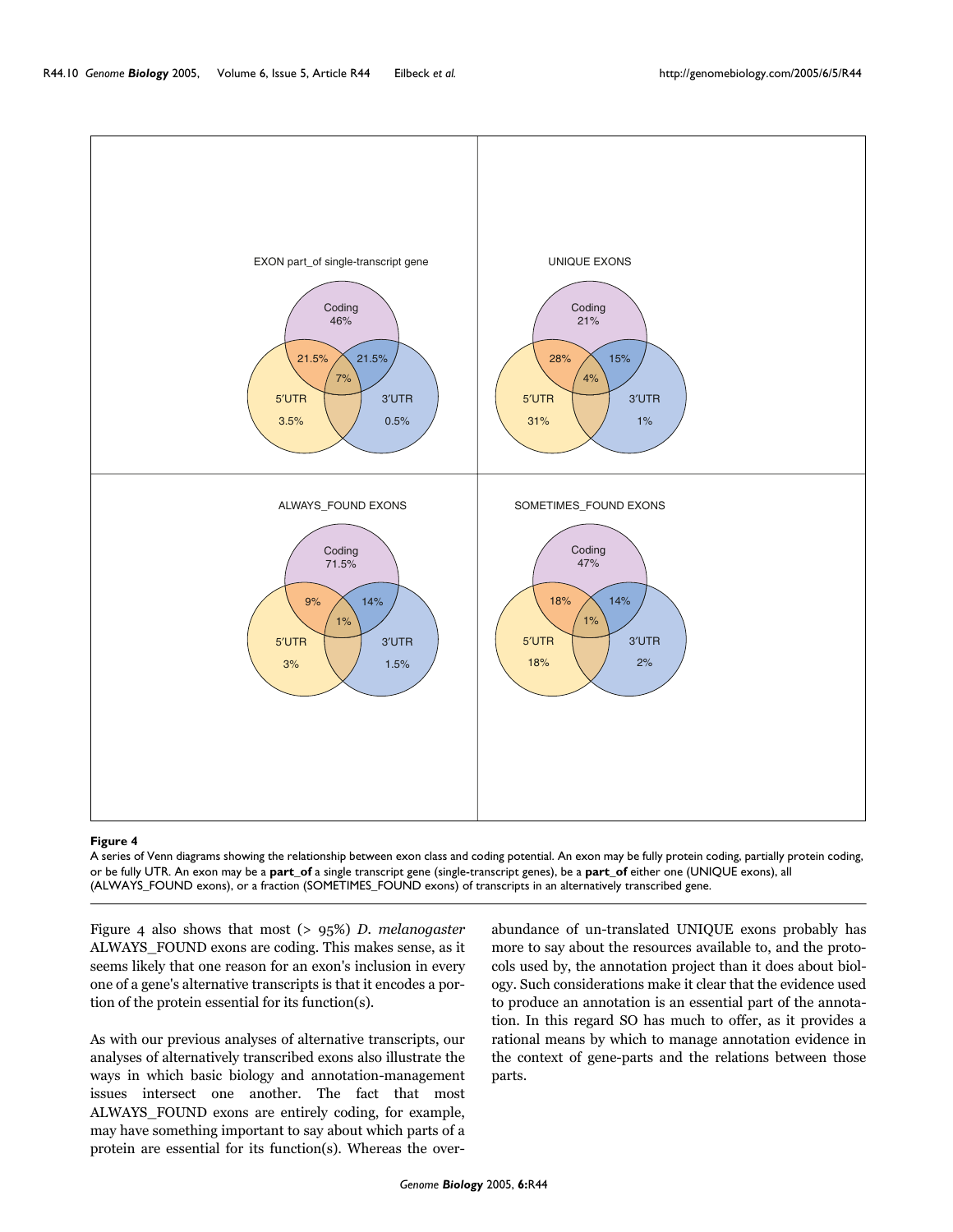

#### A series of Venn diagrams showing the relation **Figure 4** ship between exon class and coding potential

A series of Venn diagrams showing the relationship between exon class and coding potential. An exon may be fully protein coding, partially protein coding, or be fully UTR. An exon may be a **part\_of** a single transcript gene (single-transcript genes), be a **part\_of** either one (UNIQUE exons), all (ALWAYS\_FOUND exons), or a fraction (SOMETIMES\_FOUND exons) of transcripts in an alternatively transcribed gene.

Figure 4 also shows that most (> 95%) *D. melanogaster* ALWAYS\_FOUND exons are coding. This makes sense, as it seems likely that one reason for an exon's inclusion in every one of a gene's alternative transcripts is that it encodes a portion of the protein essential for its function(s).

As with our previous analyses of alternative transcripts, our analyses of alternatively transcribed exons also illustrate the ways in which basic biology and annotation-management issues intersect one another. The fact that most ALWAYS\_FOUND exons are entirely coding, for example, may have something important to say about which parts of a protein are essential for its function(s). Whereas the overabundance of un-translated UNIQUE exons probably has more to say about the resources available to, and the protocols used by, the annotation project than it does about biology. Such considerations make it clear that the evidence used to produce an annotation is an essential part of the annotation. In this regard SO has much to offer, as it provides a rational means by which to manage annotation evidence in the context of gene-parts and the relations between those parts.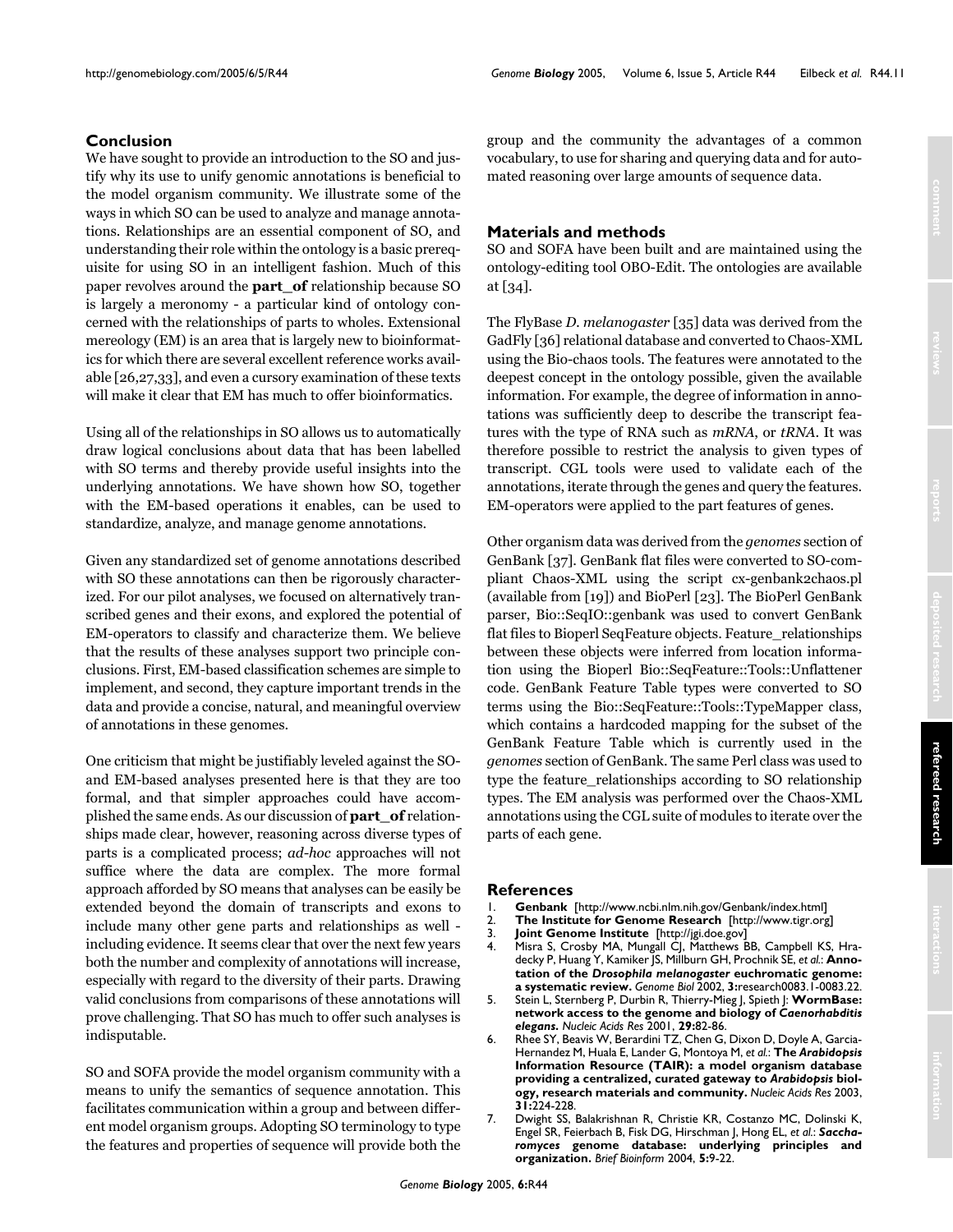## **Conclusion**

We have sought to provide an introduction to the SO and justify why its use to unify genomic annotations is beneficial to the model organism community. We illustrate some of the ways in which SO can be used to analyze and manage annotations. Relationships are an essential component of SO, and understanding their role within the ontology is a basic prerequisite for using SO in an intelligent fashion. Much of this paper revolves around the **part\_of** relationship because SO is largely a meronomy - a particular kind of ontology concerned with the relationships of parts to wholes. Extensional mereology (EM) is an area that is largely new to bioinformatics for which there are several excellent reference works available [26,27,33], and even a cursory examination of these texts will make it clear that EM has much to offer bioinformatics.

Using all of the relationships in SO allows us to automatically draw logical conclusions about data that has been labelled with SO terms and thereby provide useful insights into the underlying annotations. We have shown how SO, together with the EM-based operations it enables, can be used to standardize, analyze, and manage genome annotations.

Given any standardized set of genome annotations described with SO these annotations can then be rigorously characterized. For our pilot analyses, we focused on alternatively transcribed genes and their exons, and explored the potential of EM-operators to classify and characterize them. We believe that the results of these analyses support two principle conclusions. First, EM-based classification schemes are simple to implement, and second, they capture important trends in the data and provide a concise, natural, and meaningful overview of annotations in these genomes.

One criticism that might be justifiably leveled against the SOand EM-based analyses presented here is that they are too formal, and that simpler approaches could have accomplished the same ends. As our discussion of **part\_of** relationships made clear, however, reasoning across diverse types of parts is a complicated process; *ad-hoc* approaches will not suffice where the data are complex. The more formal approach afforded by SO means that analyses can be easily be extended beyond the domain of transcripts and exons to include many other gene parts and relationships as well including evidence. It seems clear that over the next few years both the number and complexity of annotations will increase, especially with regard to the diversity of their parts. Drawing valid conclusions from comparisons of these annotations will prove challenging. That SO has much to offer such analyses is indisputable.

SO and SOFA provide the model organism community with a means to unify the semantics of sequence annotation. This facilitates communication within a group and between different model organism groups. Adopting SO terminology to type the features and properties of sequence will provide both the

group and the community the advantages of a common vocabulary, to use for sharing and querying data and for automated reasoning over large amounts of sequence data.

## **Materials and methods**

SO and SOFA have been built and are maintained using the ontology-editing tool OBO-Edit. The ontologies are available at [34].

The FlyBase *D. melanogaster* [35] data was derived from the GadFly [36] relational database and converted to Chaos-XML using the Bio-chaos tools. The features were annotated to the deepest concept in the ontology possible, given the available information. For example, the degree of information in annotations was sufficiently deep to describe the transcript features with the type of RNA such as *mRNA*, or *tRNA*. It was therefore possible to restrict the analysis to given types of transcript. CGL tools were used to validate each of the annotations, iterate through the genes and query the features. EM-operators were applied to the part features of genes.

Other organism data was derived from the *genomes* section of GenBank [37]. GenBank flat files were converted to SO-compliant Chaos-XML using the script cx-genbank2chaos.pl (available from [19]) and BioPerl [23]. The BioPerl GenBank parser, Bio::SeqIO::genbank was used to convert GenBank flat files to Bioperl SeqFeature objects. Feature\_relationships between these objects were inferred from location information using the Bioperl Bio::SeqFeature::Tools::Unflattener code. GenBank Feature Table types were converted to SO terms using the Bio::SeqFeature::Tools::TypeMapper class, which contains a hardcoded mapping for the subset of the GenBank Feature Table which is currently used in the *genomes* section of GenBank. The same Perl class was used to type the feature\_relationships according to SO relationship types. The EM analysis was performed over the Chaos-XML annotations using the CGL suite of modules to iterate over the parts of each gene.

## **References**

- 1. **Genbank** [\[http://www.ncbi.nlm.nih.gov/Genbank/index.html\]](http://www.ncbi.nlm.nih.gov/Genbank/index.html)<br>2. The Institute for Genome Research [http://www.tigr.org
- 2. **The Institute for Genome Research** [\[http://www.tigr.org\]](http://www.tigr.org)
- 3. **Joint Genome Institute** [\[http://jgi.doe.gov\]](http://jgi.doe.gov)
- 4. Misra S, Crosby MA, Mungall CJ, Matthews BB, Campbell KS, Hradecky P, Huang Y, Kamiker JS, Millburn GH, Prochnik SE, *et al.*: **Annotation of the** *Drosophila melanogaster* **euchromatic genome: a systematic review.** *Genome Biol* 2002, **3:**research0083.1-0083.22.
- 5. Stein L, Sternberg P, Durbin R, Thierry-Mieg J, Spieth J: **WormBase: network access to the genome and biology of** *Caenorhabditis elegans***[.](http://www.ncbi.nlm.nih.gov/entrez/query.fcgi?cmd=Retrieve&db=PubMed&dopt=Abstract&list_uids=11125056)** *Nucleic Acids Res* 2001, **29:**82-86.
- 6. Rhee SY, Beavis W, Berardini TZ, Chen G, Dixon D, Doyle A, Garcia-Hernandez M, Huala E, Lander G, Montoya M, *et al.*: **The** *Arabidopsis* **Information Resource (TAIR): a model organism database providing a centralized, curated gateway to** *Arabidopsis* **[biol](http://www.ncbi.nlm.nih.gov/entrez/query.fcgi?cmd=Retrieve&db=PubMed&dopt=Abstract&list_uids=12519987)[ogy, research materials and community.](http://www.ncbi.nlm.nih.gov/entrez/query.fcgi?cmd=Retrieve&db=PubMed&dopt=Abstract&list_uids=12519987)** *Nucleic Acids Res* 2003, **31:**224-228.
- 7. Dwight SS, Balakrishnan R, Christie KR, Costanzo MC, Dolinski K, Engel SR, Feierbach B, Fisk DG, Hirschman J, Hong EL, *et al.*: *Saccharomyces* **[genome database: underlying principles and](http://www.ncbi.nlm.nih.gov/entrez/query.fcgi?cmd=Retrieve&db=PubMed&dopt=Abstract&list_uids=15153302) [organization.](http://www.ncbi.nlm.nih.gov/entrez/query.fcgi?cmd=Retrieve&db=PubMed&dopt=Abstract&list_uids=15153302)** *Brief Bioinform* 2004, **5:**9-22.